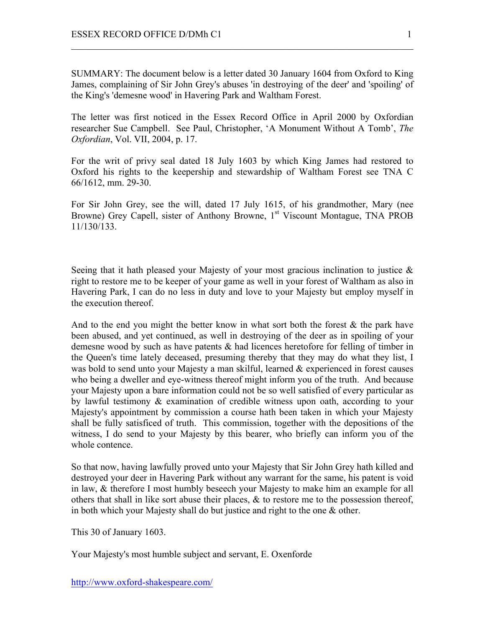SUMMARY: The document below is a letter dated 30 January 1604 from Oxford to King James, complaining of Sir John Grey's abuses 'in destroying of the deer' and 'spoiling' of the King's 'demesne wood' in Havering Park and Waltham Forest.

 $\mathcal{L}_\text{max}$  , and the contribution of the contribution of the contribution of the contribution of the contribution of the contribution of the contribution of the contribution of the contribution of the contribution of t

The letter was first noticed in the Essex Record Office in April 2000 by Oxfordian researcher Sue Campbell. See Paul, Christopher, 'A Monument Without A Tomb', *The Oxfordian*, Vol. VII, 2004, p. 17.

For the writ of privy seal dated 18 July 1603 by which King James had restored to Oxford his rights to the keepership and stewardship of Waltham Forest see TNA C 66/1612, mm. 29-30.

For Sir John Grey, see the will, dated 17 July 1615, of his grandmother, Mary (nee Browne) Grey Capell, sister of Anthony Browne, 1<sup>st</sup> Viscount Montague, TNA PROB 11/130/133.

Seeing that it hath pleased your Majesty of your most gracious inclination to justice & right to restore me to be keeper of your game as well in your forest of Waltham as also in Havering Park, I can do no less in duty and love to your Majesty but employ myself in the execution thereof.

And to the end you might the better know in what sort both the forest  $\&$  the park have been abused, and yet continued, as well in destroying of the deer as in spoiling of your demesne wood by such as have patents & had licences heretofore for felling of timber in the Queen's time lately deceased, presuming thereby that they may do what they list, I was bold to send unto your Majesty a man skilful, learned & experienced in forest causes who being a dweller and eye-witness thereof might inform you of the truth. And because your Majesty upon a bare information could not be so well satisfied of every particular as by lawful testimony & examination of credible witness upon oath, according to your Majesty's appointment by commission a course hath been taken in which your Majesty shall be fully satisficed of truth. This commission, together with the depositions of the witness, I do send to your Majesty by this bearer, who briefly can inform you of the whole contence.

So that now, having lawfully proved unto your Majesty that Sir John Grey hath killed and destroyed your deer in Havering Park without any warrant for the same, his patent is void in law, & therefore I most humbly beseech your Majesty to make him an example for all others that shall in like sort abuse their places, & to restore me to the possession thereof, in both which your Majesty shall do but justice and right to the one & other.

This 30 of January 1603.

Your Majesty's most humble subject and servant, E. Oxenforde

http://www.oxford-shakespeare.com/